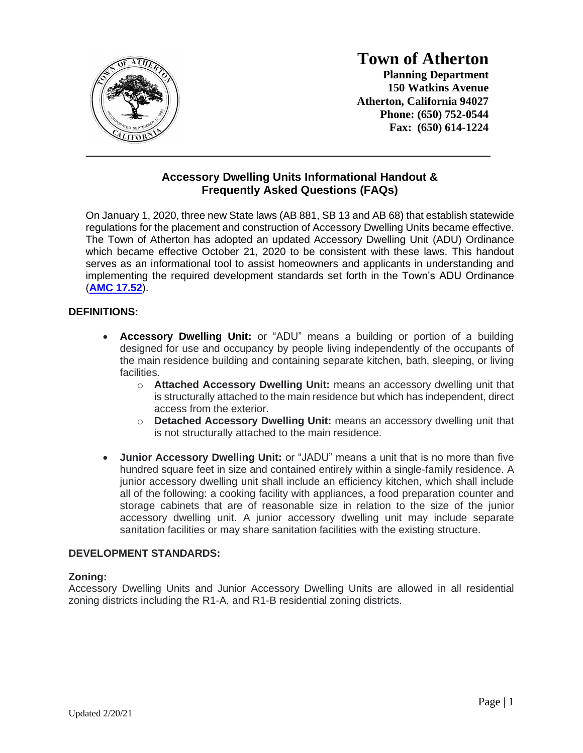

# **Town of Atherton**

**Planning Department 150 Watkins Avenue Atherton, California 94027 Phone: (650) 752-0544 Fax: (650) 614-1224**

# **Accessory Dwelling Units Informational Handout & Frequently Asked Questions (FAQs)**

\_\_\_\_\_\_\_\_\_\_\_\_\_\_\_\_\_\_\_\_\_\_\_\_\_\_\_\_\_\_\_\_\_\_\_\_\_\_\_\_\_\_\_\_\_\_\_\_\_\_\_\_\_\_\_\_\_\_\_\_\_\_\_\_\_\_\_\_\_\_\_\_\_\_\_\_\_\_\_\_\_\_\_\_\_

On January 1, 2020, three new State laws (AB 881, SB 13 and AB 68) that establish statewide regulations for the placement and construction of Accessory Dwelling Units became effective. The Town of Atherton has adopted an updated Accessory Dwelling Unit (ADU) Ordinance which became effective October 21, 2020 to be consistent with these laws. This handout serves as an informational tool to assist homeowners and applicants in understanding and implementing the required development standards set forth in the Town's ADU Ordinance (**[AMC 17.52](https://www.codepublishing.com/CA/Atherton/#!/Atherton17/Atherton1752.html)**).

## **DEFINITIONS:**

- **Accessory Dwelling Unit:** or "ADU" means a building or portion of a building designed for use and occupancy by people living independently of the occupants of the main residence building and containing separate kitchen, bath, sleeping, or living facilities.
	- o **Attached Accessory Dwelling Unit:** means an accessory dwelling unit that is structurally attached to the main residence but which has independent, direct access from the exterior.
	- o **Detached Accessory Dwelling Unit:** means an accessory dwelling unit that is not structurally attached to the main residence.
- **Junior Accessory Dwelling Unit:** or "JADU" means a unit that is no more than five hundred square feet in size and contained entirely within a single-family residence. A junior accessory dwelling unit shall include an efficiency kitchen, which shall include all of the following: a cooking facility with appliances, a food preparation counter and storage cabinets that are of reasonable size in relation to the size of the junior accessory dwelling unit. A junior accessory dwelling unit may include separate sanitation facilities or may share sanitation facilities with the existing structure.

#### **DEVELOPMENT STANDARDS:**

#### **Zoning:**

Accessory Dwelling Units and Junior Accessory Dwelling Units are allowed in all residential zoning districts including the R1-A, and R1-B residential zoning districts.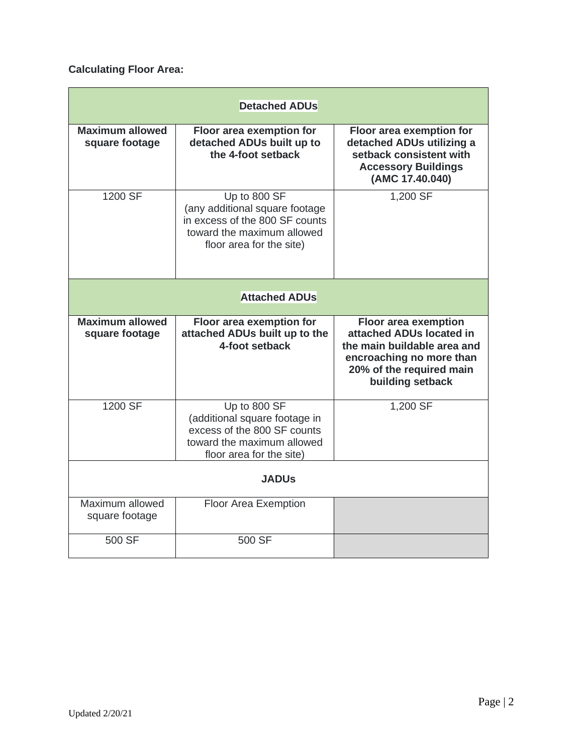# **Calculating Floor Area:**

| <b>Detached ADUs</b>                     |                                                                                                                                            |                                                                                                                                                                    |  |  |  |  |  |
|------------------------------------------|--------------------------------------------------------------------------------------------------------------------------------------------|--------------------------------------------------------------------------------------------------------------------------------------------------------------------|--|--|--|--|--|
| <b>Maximum allowed</b><br>square footage | Floor area exemption for<br>detached ADUs built up to<br>the 4-foot setback                                                                | Floor area exemption for<br>detached ADUs utilizing a<br>setback consistent with<br><b>Accessory Buildings</b><br>(AMC 17.40.040)                                  |  |  |  |  |  |
| 1200 SF                                  | Up to 800 SF<br>(any additional square footage<br>in excess of the 800 SF counts<br>toward the maximum allowed<br>floor area for the site) | 1,200 SF                                                                                                                                                           |  |  |  |  |  |
| <b>Attached ADUs</b>                     |                                                                                                                                            |                                                                                                                                                                    |  |  |  |  |  |
| <b>Maximum allowed</b><br>square footage | Floor area exemption for<br>attached ADUs built up to the<br>4-foot setback                                                                | <b>Floor area exemption</b><br>attached ADUs located in<br>the main buildable area and<br>encroaching no more than<br>20% of the required main<br>building setback |  |  |  |  |  |
| 1200 SF                                  | Up to 800 SF<br>(additional square footage in<br>excess of the 800 SF counts<br>toward the maximum allowed<br>floor area for the site)     | 1,200 SF                                                                                                                                                           |  |  |  |  |  |
| <b>JADUS</b>                             |                                                                                                                                            |                                                                                                                                                                    |  |  |  |  |  |
| Maximum allowed<br>square footage        | Floor Area Exemption                                                                                                                       |                                                                                                                                                                    |  |  |  |  |  |
| 500 SF                                   | 500 SF                                                                                                                                     |                                                                                                                                                                    |  |  |  |  |  |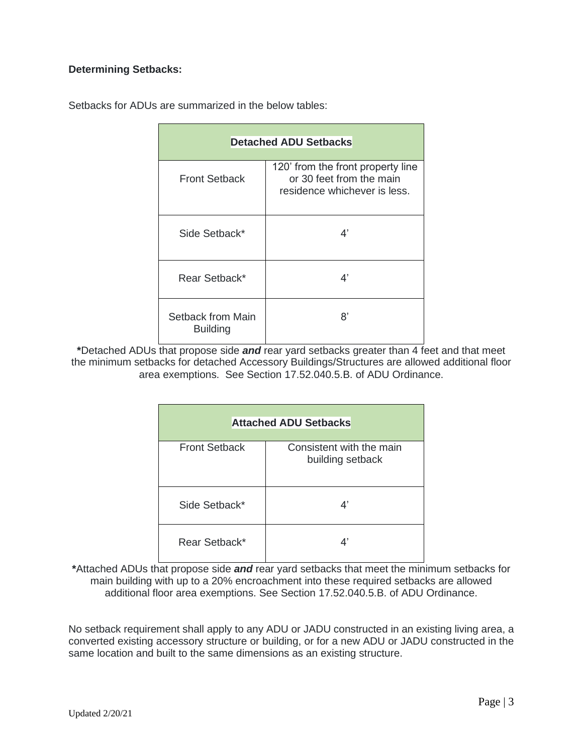## **Determining Setbacks:**

| <b>Detached ADU Setbacks</b>         |                                                                                               |  |  |  |  |
|--------------------------------------|-----------------------------------------------------------------------------------------------|--|--|--|--|
| <b>Front Setback</b>                 | 120' from the front property line<br>or 30 feet from the main<br>residence whichever is less. |  |  |  |  |
| Side Setback*                        | 4'                                                                                            |  |  |  |  |
| Rear Setback*                        | 4'                                                                                            |  |  |  |  |
| Setback from Main<br><b>Building</b> | 8'                                                                                            |  |  |  |  |

Setbacks for ADUs are summarized in the below tables:

**\***Detached ADUs that propose side *and* rear yard setbacks greater than 4 feet and that meet the minimum setbacks for detached Accessory Buildings/Structures are allowed additional floor area exemptions. See Section 17.52.040.5.B. of ADU Ordinance.

| <b>Attached ADU Setbacks</b> |                                              |  |  |  |  |
|------------------------------|----------------------------------------------|--|--|--|--|
| <b>Front Setback</b>         | Consistent with the main<br>building setback |  |  |  |  |
| Side Setback*                | 4'                                           |  |  |  |  |
| Rear Setback*                | Δ'                                           |  |  |  |  |

**\***Attached ADUs that propose side *and* rear yard setbacks that meet the minimum setbacks for main building with up to a 20% encroachment into these required setbacks are allowed additional floor area exemptions. See Section 17.52.040.5.B. of ADU Ordinance.

No setback requirement shall apply to any ADU or JADU constructed in an existing living area, a converted existing accessory structure or building, or for a new ADU or JADU constructed in the same location and built to the same dimensions as an existing structure.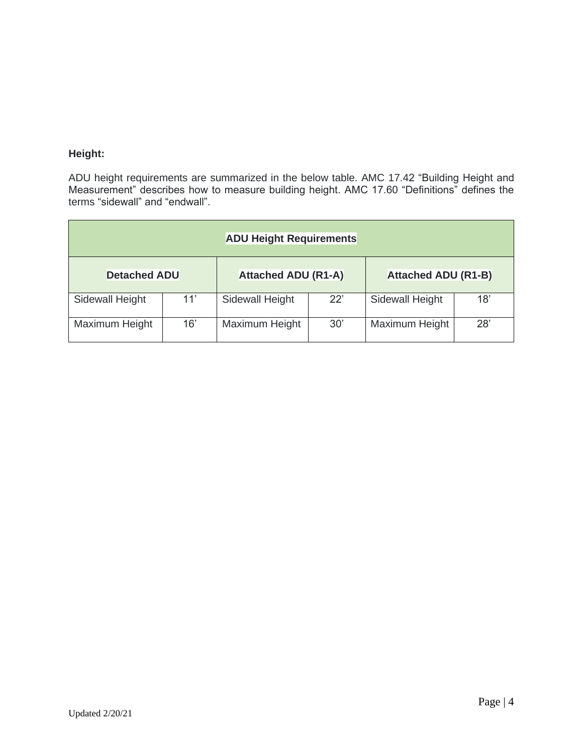# **Height:**

ADU height requirements are summarized in the below table. AMC 17.42 "Building Height and Measurement" describes how to measure building height. AMC 17.60 "Definitions" defines the terms "sidewall" and "endwall".

| <b>ADU Height Requirements</b> |     |                            |     |                            |     |  |  |  |
|--------------------------------|-----|----------------------------|-----|----------------------------|-----|--|--|--|
| <b>Detached ADU</b>            |     | <b>Attached ADU (R1-A)</b> |     | <b>Attached ADU (R1-B)</b> |     |  |  |  |
| Sidewall Height                | 11' | Sidewall Height            | 22' | Sidewall Height            | 18' |  |  |  |
| Maximum Height                 | 16' | Maximum Height             | 30' | Maximum Height             | 28' |  |  |  |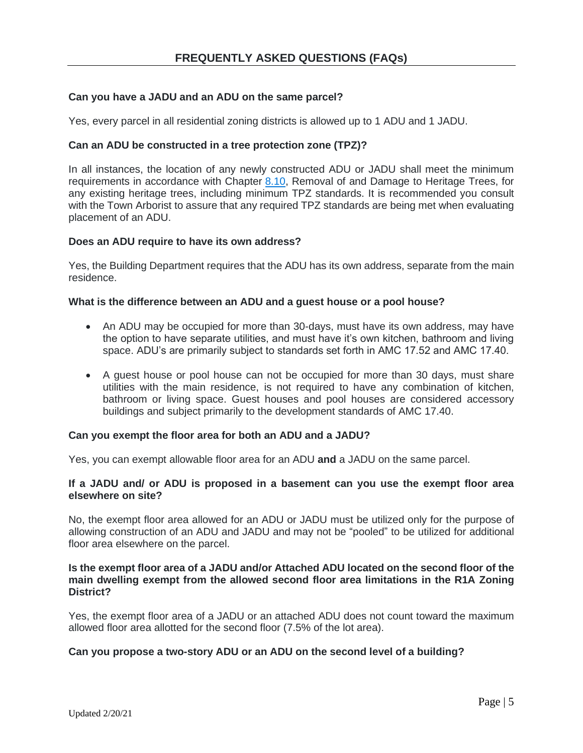## **Can you have a JADU and an ADU on the same parcel?**

Yes, every parcel in all residential zoning districts is allowed up to 1 ADU and 1 JADU.

#### **Can an ADU be constructed in a tree protection zone (TPZ)?**

In all instances, the location of any newly constructed ADU or JADU shall meet the minimum requirements in accordance with Chapter [8.10,](https://www.codepublishing.com/CA/Atherton/#!/Atherton08/Atherton0810.html#8.10) Removal of and Damage to Heritage Trees, for any existing heritage trees, including minimum TPZ standards. It is recommended you consult with the Town Arborist to assure that any required TPZ standards are being met when evaluating placement of an ADU.

#### **Does an ADU require to have its own address?**

Yes, the Building Department requires that the ADU has its own address, separate from the main residence.

#### **What is the difference between an ADU and a guest house or a pool house?**

- An ADU may be occupied for more than 30-days, must have its own address, may have the option to have separate utilities, and must have it's own kitchen, bathroom and living space. ADU's are primarily subject to standards set forth in AMC 17.52 and AMC 17.40.
- A guest house or pool house can not be occupied for more than 30 days, must share utilities with the main residence, is not required to have any combination of kitchen, bathroom or living space. Guest houses and pool houses are considered accessory buildings and subject primarily to the development standards of AMC 17.40.

#### **Can you exempt the floor area for both an ADU and a JADU?**

Yes, you can exempt allowable floor area for an ADU **and** a JADU on the same parcel.

#### **If a JADU and/ or ADU is proposed in a basement can you use the exempt floor area elsewhere on site?**

No, the exempt floor area allowed for an ADU or JADU must be utilized only for the purpose of allowing construction of an ADU and JADU and may not be "pooled" to be utilized for additional floor area elsewhere on the parcel.

#### **Is the exempt floor area of a JADU and/or Attached ADU located on the second floor of the main dwelling exempt from the allowed second floor area limitations in the R1A Zoning District?**

Yes, the exempt floor area of a JADU or an attached ADU does not count toward the maximum allowed floor area allotted for the second floor (7.5% of the lot area).

#### **Can you propose a two-story ADU or an ADU on the second level of a building?**